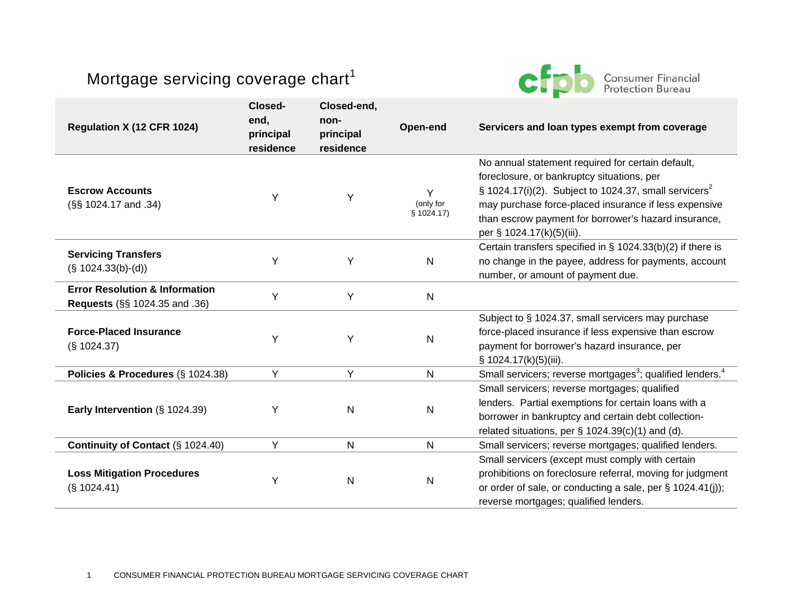## Mortgage servicing coverage chart $1$



| Regulation X (12 CFR 1024)                                                 | Closed-<br>end,<br>principal<br>residence | Closed-end,<br>non-<br>principal<br>residence | Open-end                     | Servicers and loan types exempt from coverage                                                                                                                                                                                                                                                                         |
|----------------------------------------------------------------------------|-------------------------------------------|-----------------------------------------------|------------------------------|-----------------------------------------------------------------------------------------------------------------------------------------------------------------------------------------------------------------------------------------------------------------------------------------------------------------------|
| <b>Escrow Accounts</b><br>(§§ 1024.17 and .34)                             | Υ                                         | Y                                             | Y<br>(only for<br>\$1024.17) | No annual statement required for certain default,<br>foreclosure, or bankruptcy situations, per<br>$\S$ 1024.17(i)(2). Subject to 1024.37, small servicers <sup>2</sup><br>may purchase force-placed insurance if less expensive<br>than escrow payment for borrower's hazard insurance,<br>per § 1024.17(k)(5)(iii). |
| <b>Servicing Transfers</b><br>$(S 1024.33(b)-(d))$                         | Y                                         | Y                                             | $\mathsf{N}$                 | Certain transfers specified in $\S$ 1024.33(b)(2) if there is<br>no change in the payee, address for payments, account<br>number, or amount of payment due.                                                                                                                                                           |
| <b>Error Resolution &amp; Information</b><br>Requests (§§ 1024.35 and .36) | Y                                         | Y                                             | $\mathsf{N}$                 |                                                                                                                                                                                                                                                                                                                       |
| <b>Force-Placed Insurance</b><br>$(S$ 1024.37)                             | Υ                                         | Υ                                             | ${\sf N}$                    | Subject to § 1024.37, small servicers may purchase<br>force-placed insurance if less expensive than escrow<br>payment for borrower's hazard insurance, per<br>$\S$ 1024.17(k)(5)(iii).                                                                                                                                |
| Policies & Procedures (§ 1024.38)                                          | Υ                                         | Y                                             | $\mathsf{N}$                 | Small servicers; reverse mortgages <sup>3</sup> ; qualified lenders. <sup>4</sup>                                                                                                                                                                                                                                     |
| Early Intervention $(\S 1024.39)$                                          | Υ                                         | ${\sf N}$                                     | ${\sf N}$                    | Small servicers; reverse mortgages; qualified<br>lenders. Partial exemptions for certain loans with a<br>borrower in bankruptcy and certain debt collection-<br>related situations, per $\S$ 1024.39(c)(1) and (d).                                                                                                   |
| Continuity of Contact (§ 1024.40)                                          | Y                                         | $\mathsf{N}$                                  | N                            | Small servicers; reverse mortgages; qualified lenders.                                                                                                                                                                                                                                                                |
| <b>Loss Mitigation Procedures</b><br>$(S$ 1024.41)                         | Υ                                         | ${\sf N}$                                     | ${\sf N}$                    | Small servicers (except must comply with certain<br>prohibitions on foreclosure referral, moving for judgment<br>or order of sale, or conducting a sale, per § 1024.41(i));<br>reverse mortgages; qualified lenders.                                                                                                  |